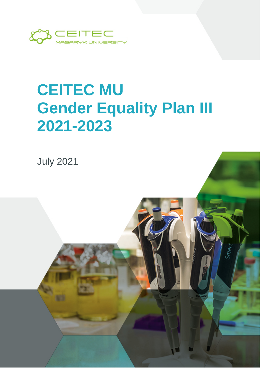

# **CEITEC MU Gender Equality Plan III 2021-2023**

 $Sm_{\partial \mathcal{H}}$ 

July 2021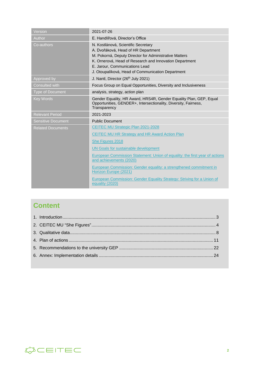| Version                   | 2021-07-26                                                                                                                                                                                                                                                                                                                                                                                                                                             |
|---------------------------|--------------------------------------------------------------------------------------------------------------------------------------------------------------------------------------------------------------------------------------------------------------------------------------------------------------------------------------------------------------------------------------------------------------------------------------------------------|
| Author                    | E. Handlířová, Director's Office                                                                                                                                                                                                                                                                                                                                                                                                                       |
| Co-authors                | N. Kostlánová, Scientific Secretary<br>A. Dvořáková, Head of HR Department<br>M. Pokorná, Deputy Director for Administrative Matters<br>K. Ornerová, Head of Research and Innovation Department<br>E. Jarour. Communications Lead<br>J. Otoupalíková, Head of Communication Department                                                                                                                                                                 |
| Approved by               | J. Nantl, Director (26 <sup>th</sup> July 2021)                                                                                                                                                                                                                                                                                                                                                                                                        |
| Consulted with            | Focus Group on Equal Opportunities, Diversity and Inclusiveness                                                                                                                                                                                                                                                                                                                                                                                        |
| <b>Type of Document</b>   | analysis, strategy, action plan                                                                                                                                                                                                                                                                                                                                                                                                                        |
| <b>Key Words</b>          | Gender Equality, HR Award, HRS4R, Gender Equality Plan, GEP, Equal<br>Opportunities, GENDER+, Intersectionality, Diversity, Fairness,<br>Transparency                                                                                                                                                                                                                                                                                                  |
| <b>Relevant Period</b>    | 2021-2023                                                                                                                                                                                                                                                                                                                                                                                                                                              |
| <b>Sensitive Document</b> | <b>Public Document</b>                                                                                                                                                                                                                                                                                                                                                                                                                                 |
| <b>Related Documents</b>  | CEITEC MU Strategic Plan 2021-2028<br>CEITEC MU HR Strategy and HR Award Action Plan<br>She Figures 2018<br>UN Goals for sustainable development<br>European Commission Statement: Union of equality: the first year of actions<br>and achievements (2020)<br>European Commission: Gender equality: a strengthened commitment in<br>Horizon Europe (2021)<br>European Commission: Gender Equality Strategy: Striving for a Union of<br>equality (2020) |

### **Content**

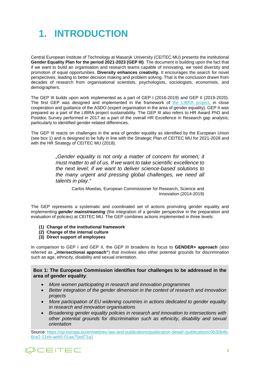### <span id="page-2-0"></span>**1. INTRODUCTION**

Central European Institute of Technology at Masaryk University (CEITEC MU) presents the institutional **Gender Equality Plan for the period 2021-2023 (GEP III)**. The document is building upon the fact that if we want to build an organisation and research teams capable of innovating, we need diversity and promotion of equal opportunities. **Diversity enhances creativity.** It encourages the search for novel perspectives, leading to better decision making and problem solving. That is the conclusion drawn from decades of research from organisational scientists, psychologists, sociologists, economists, and demographers.

The GEP III builds upon work implemented as a part of GEP I (2016-2019) and GEP II (2019-2020). The first GEP was designed and implemented in the framework of [the LIBRA project,](https://www.eu-libra.eu/) in close cooperation and guidance of the ASDO (expert organisation in the area of gender equality). GEP II was prepared as a part of the LIBRA project sustainability. The GEP III also refers to HR Award PhD and Postdoc Survey performed in 2017 as a part of the overall HR Excellence in Research gap analysis; particularly to identified gender-related differences.

The GEP III reacts on challenges in the area of gender equality as identified by the European Union (see box 1) and is designed to be fully in line with the Strategic Plan of CEITEC MU for 2021-2028 and with the HR Strategy of CEITEC MU (2018).

> *"Gender equality is not only a matter of concern for women; it must matter to all of us. If we want to take scientific excellence to the next level; if we want to deliver science-based solutions to the many urgent and pressing global challenges, we need all talents in play."*

> > Carlos Moedas, European Commissioner for Research, Science and Innovation (2014-2019)

The GEP represents a systematic and coordinated set of actions promoting gender equality and implementing *gender mainstreaming* (the integration of a gender perspective in the preparation and evaluation of policies) at CEITEC MU. The GEP combines actions implemented in three levels:

- **(1) Change of the institutional framework**
- **(2) Change of the internal culture**
- **(3) Direct support of employees**

In comparison to GEP I and GEP II, the GEP III broadens its focus to **GENDER+ approach** (also referred as **..intersectional approach**") that involves also other potential grounds for discrimination such as age, ethnicity, disability and sexual orientation.

**Box 1: The European Commission identifies four challenges to be addressed in the area of gender equality**:

- *More women participating in research and innovation programmes*
- *Better integration of the gender dimension in the context of research and innovation projects*
- *More participation of EU widening countries in actions dedicated to gender equality in research and innovation organisations*
- *Broadening gender equality policies in research and innovation to intersections with other potential grounds for discrimination such as ethnicity, disability and sexual orientation*

Source[: https://op.europa.eu/en/web/eu-law-and-publications/publication-detail/-/publication/c0b30b4b-](https://op.europa.eu/en/web/eu-law-and-publications/publication-detail/-/publication/c0b30b4b-6ce2-11eb-aeb5-01aa75ed71a1)[6ce2-11eb-aeb5-01aa75ed71a1](https://op.europa.eu/en/web/eu-law-and-publications/publication-detail/-/publication/c0b30b4b-6ce2-11eb-aeb5-01aa75ed71a1)

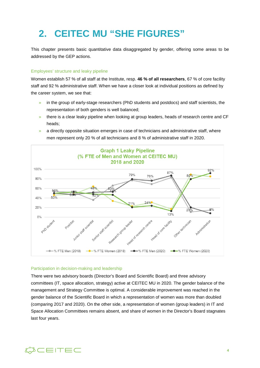### <span id="page-3-0"></span>**2. CEITEC MU "SHE FIGURES"**

This chapter presents basic quantitative data disaggregated by gender, offering some areas to be addressed by the GEP actions.

#### Employees' structure and leaky pipeline

Women establish 57 % of all staff at the Institute, resp. **46 % of all researchers**, 67 % of core facility staff and 92 % administrative staff. When we have a closer look at individual positions as defined by the career system, we see that:

- » in the group of early-stage researchers (PhD students and postdocs) and staff scientists, the representation of both genders is well balanced;
- » there is a clear leaky pipeline when looking at group leaders, heads of research centre and CF heads;
- » a directly opposite situation emerges in case of technicians and administrative staff, where men represent only 20 % of all technicians and 8 % of administrative staff in 2020.



#### Participation in decision-making and leadership

There were two advisory boards (Director's Board and Scientific Board) and three advisory committees (IT, space allocation, strategy) active at CEITEC MU in 2020. The gender balance of the management and Strategy Committee is optimal. A considerable improvement was reached in the gender balance of the Scientific Board in which a representation of women was more than doubled (comparing 2017 and 2020). On the other side, a representation of women (group leaders) in IT and Space Allocation Committees remains absent, and share of women in the Director's Board stagnates last four years.

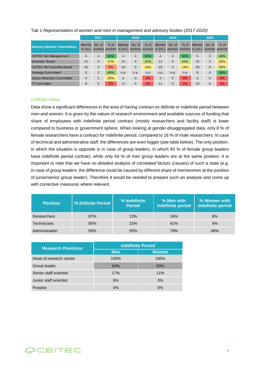|                                     |       | 2017                 |        |                | 2018         |        |                                                                                              | 2019           |        |              | 2020           |        |
|-------------------------------------|-------|----------------------|--------|----------------|--------------|--------|----------------------------------------------------------------------------------------------|----------------|--------|--------------|----------------|--------|
| <b>Advisory Boards / Committees</b> | Membe | No. of               | $%$ of | <b>Membe</b>   | No. of       | $%$ of | Membe<br>rs (no.) women women rs (no.) women women rs (no.) women women rs (no.) women women | No. of         | $%$ of | <b>Membe</b> | No. of         | $%$ of |
| <b>CEITEC MU Management</b>         | 4     | 2                    | 50%    | 4              | 2            | 50%    | $\overline{4}$                                                                               | $\overline{2}$ | 50%    | 5            | 2              | 40%    |
| Directors' Board                    | 11    | 3                    | 27%    | 11             | 3            | 27%    | 12                                                                                           | 3              | 25%    | 12           | 3              | 25%    |
| <b>CEITEC MU Scientific Board</b>   | 22    | 2                    | 9%     | 23             | 3            | 13%    | 23                                                                                           | 3              | 13%    | 20           | 6              | 30%    |
| Strategy Committee*                 | 5     | $\overline{2}$       | 40%    | n.a.           | n.a.         | n.a.   | n.a.                                                                                         | n.a.           | n.a.   | 8            | $\overline{4}$ | 50%    |
| <b>Space Allocation Committee</b>   | 4     | $\blacktriangleleft$ | 25%    | $\overline{4}$ | $\Omega$     | 0%     | 4                                                                                            | $\Omega$       | 0%     | 4            | $\mathbf{0}$   | 0%     |
| <b>IT Committee</b>                 | 8     | $\Omega$             | 0%     | 11             | $\mathbf{0}$ | 0%     | 11                                                                                           | $\Omega$       | 0%     | 10           | $\Omega$       | 0%     |

#### Tab 1 *Representation of women and men in management and advisory bodies (2017-2020)*

#### Contract status

Data show a significant differences in the area of having contract on definite or indefinite period between men and women. It is given by the nature of research environment and available sources of funding that share of employees with indefinite period contract (mostly researchers and facility staff) is lower compared to business or government sphere. When looking at gender-disaggregated data, only 8 % of female researchers have a contract for indefinite period, compared to 16 % of male researchers. In case of technical and administrative staff, the differences are even bigger (see table below). The only position, in which the situation is opposite is in case of group leaders, in which 93 % of female group leaders have indefinite period contract, while only 64 % of men group leaders are at the same position. It is important to note that we have no detailed analysis of correlated factors (causes) of such a state (e.g. in case of group leaders, the difference could be caused by different share of men/women at the position of junior/senior group leader). Therefore it would be needed to prepare such an analysis and come up with corrective measures where relevant.

| <b>Position</b>    | % Definite Period | % Indefinite<br><b>Period</b> | % Men with<br>indefinite period | % Women with<br>indefinite period |
|--------------------|-------------------|-------------------------------|---------------------------------|-----------------------------------|
| <b>Researchers</b> | 87%               | 13%                           | 16%                             | 8%                                |
| <b>Technicians</b> | 85%               | 15%                           | 41%                             | 4%                                |
| Administration     | 50%               | 50%                           | 79%                             | 48%                               |

| <b>Research Positions</b> | <b>Indefinite Period</b> |              |  |  |
|---------------------------|--------------------------|--------------|--|--|
|                           | <b>Men</b>               | <b>Women</b> |  |  |
| Head of research centre   | 100%                     | 100%         |  |  |
| Group leader              | 64%                      | 93%          |  |  |
| Senior staff scientist    | 17%                      | 11%          |  |  |
| Junior staff scientist    | 6%                       | 3%           |  |  |
| <b>Postdoc</b>            | $0\%$                    | 0%           |  |  |

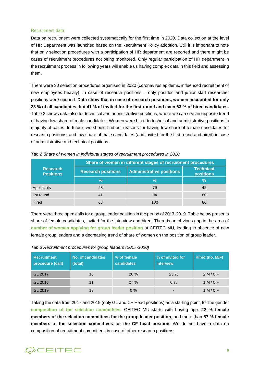#### Recruitment data

Data on recruitment were collected systematically for the first time in 2020. Data collection at the level of HR Department was launched based on the Recruitment Policy adoption. Still it is important to note that only selection procedures with a participation of HR department are reported and there might be cases of recruitment procedures not being monitored. Only regular participation of HR department in the recruitment process in following years will enable us having complex data in this field and assessing them.

There were 30 selection procedures organised in 2020 (coronavirus epidemic influenced recruitment of new employees heavily), in case of research positions – only postdoc and junior staff researcher positions were opened. **Data show that in case of research positions, women accounted for only 28 % of all candidates, but 41 % of invited for the first round and even 63 % of hired candidates.** Table 2 shows data also for technical and administrative positions, where we can see an opposite trend of having low share of male candidates. Women were hired to technical and administrative positions in majority of cases. In future, we should find out reasons for having low share of female candidates for research positions, and low share of male candidates (and invited for the first round and hired) in case of administrative and technical positions.

|                                     | Share of women in different stages of recruitment procedures |                                 |                                      |  |  |  |  |
|-------------------------------------|--------------------------------------------------------------|---------------------------------|--------------------------------------|--|--|--|--|
| <b>Research</b><br><b>Positions</b> | <b>Research positions</b>                                    | <b>Administrative positions</b> | <b>Technical</b><br><b>positions</b> |  |  |  |  |
|                                     | $\frac{0}{0}$                                                | $\frac{9}{6}$                   | $\frac{9}{6}$                        |  |  |  |  |
| Applicants                          | 28                                                           | 79                              | 42                                   |  |  |  |  |
| 1st round                           | 41                                                           | 94                              | 80                                   |  |  |  |  |
| Hired                               |                                                              | 100                             | 86                                   |  |  |  |  |

*Tab 2 Share of women in individual stages of recruitment procedures in 2020*

There were three open calls for a group leader position in the period of 2017-2019. Table below presents share of female candidates, invited for the interview and hired. There is an obvious gap in the area of **number of women applying for group leader position** at CEITEC MU, leading to absence of new female group leaders and a decreasing trend of share of women on the position of group leader.

| <b>Recruitment</b><br>procedure (call) | No. of candidates<br>(total) | % of female<br>candidates | % of invited for<br>interview | Hired (no. M/F) |
|----------------------------------------|------------------------------|---------------------------|-------------------------------|-----------------|
| GL 2017                                | 10                           | 20%                       | 25%                           | 2 M/OF          |
| GL 2018                                | 11                           | 27%                       | $0\%$                         | 1 M/OF          |
| GL 2019                                | 13                           | $0\%$                     | -                             | 1 M/OF          |

*Tab 3 Recruitment procedures for group leaders (2017-2020)*

Taking the data from 2017 and 2019 (only GL and CF Head positions) as a starting point, for the gender **composition of the selection committees**, CEITEC MU starts with having app. **22 % female members of the selection committees for the group leader position**, and more than **57 % female members of the selection committees for the CF head position**. We do not have a data on composition of recruitment committees in case of other research positions.

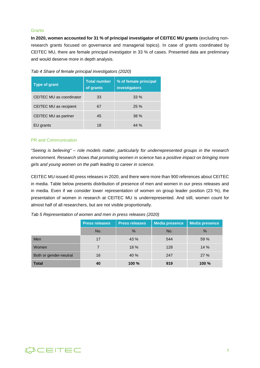#### **Grants**

**In 2020, women accounted for 31 % of principal investigator of CEITEC MU grants** (excluding nonresearch grants focused on governance and managerial topics). In case of grants coordinated by CEITEC MU, there are female principal investigator in 33 % of cases. Presented data are preliminary and would deserve more in depth analysis.

| Type of grant            | <b>Total number</b><br>of grants | % of female principal<br>investigators |
|--------------------------|----------------------------------|----------------------------------------|
| CEITEC MU as coordinator | 33                               | $33\%$                                 |
| CEITEC MU as recipient   | 67                               | 25%                                    |
| CEITEC MU as partner     | 45                               | 38%                                    |
| EU grants                | 18                               | 44%                                    |

*Tab 4 Share of female principal investigators (2020)*

#### PR and Communication

*"Seeing is believing" – role models matter, particularly for underrepresented groups in the research environment. Research shows that promoting women in science has a positive impact on bringing more girls and young women on the path leading to career in science.* 

CEITEC MU issued 40 press releases in 2020, and there were more than 900 references about CEITEC in media. Table below presents distribution of presence of men and women in our press releases and in media. Even if we consider lower representation of women on group leader position (23 %), the presentation of women in research at CEITEC MU is underrepresented. And still, women count for almost half of all researchers, but are not visible proportionally.

|                        | <b>Press releases</b> | <b>Press releases</b> | <b>Media presence</b> | Media presence |
|------------------------|-----------------------|-----------------------|-----------------------|----------------|
|                        | No.                   | $\%$                  | No.                   | $\%$           |
| Men                    | 17                    | 43 %                  | 544                   | 59 %           |
| Women                  |                       | 18%                   | 128                   | 14 %           |
| Both or gender-neutral | 16                    | 40 %                  | 247                   | 27%            |
| <b>Total</b>           | 40                    | 100 %                 | 919                   | 100 %          |

*Tab 5 Representation of women and men in press releases (2020)*

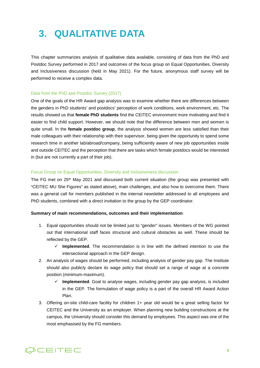### <span id="page-7-0"></span>**3. QUALITATIVE DATA**

This chapter summarizes analysis of qualitative data available, consisting of data from the PhD and Postdoc Survey performed in 2017 and outcomes of the focus group on Equal Opportunities, Diversity and Inclusiveness discussion (held in May 2021). For the future, anonymous staff survey will be performed to receive a complex data.

#### Data from the PhD and Postdoc Survey (2017)

One of the goals of the HR Award gap analysis was to examine whether there are differences between the genders in PhD students' and postdocs' perception of work conditions, work environment, etc. The results showed us that **female PhD students** find the CEITEC environment more motivating and find it easier to find child support. However, we should note that the difference between men and women is quite small. In the **female postdoc group**, the analysis showed women are less satisfied than their male colleagues with their relationship with their supervisor, being given the opportunity to spend some research time in another lab/abroad/company, being sufficiently aware of new job opportunities inside and outside CEITEC and the perception that there are tasks which female postdocs would be interested in (but are not currently a part of their job).

#### Focus Group on Equal Opportunities, Diversity and Inclusiveness discussion

The FG met on  $25<sup>th</sup>$  May 2021 and discussed both current situation (the group was presented with "CEITEC MU She Figures" as stated above), main challenges, and also how to overcome them. There was a general call for members published in the internal newsletter addressed to all employees and PhD students, combined with a direct invitation to the group by the GEP coordinator.

#### **Summary of main recommendations, outcomes and their implementation**:

- 1. Equal opportunities should not be limited just to "gender" issues. Members of the WG pointed out that international staff faces structural and cultural obstacles as well. These should be reflected by the GEP.
	- $\checkmark$  **Implemented**. The recommendation is in line with the defined intention to use the intersectional approach in the GEP design.
- 2. An analysis of wages should be performed, including analysis of gender pay gap. The Institute should also publicly declare its wage policy that should set a range of wage at a concrete position (minimum-maximum).
	- $\checkmark$  Implemented. Goal to analyse wages, including gender pay gap analysis, is included in the GEP. The formulation of wage policy is a part of the overall HR Award Action Plan.
- 3. Offering on-site child-care facility for children 1+ year old would be a great selling factor for CEITEC and the University as an employer. When planning new building constructions at the campus, the University should consider this demand by employees. This aspect was one of the most emphasised by the FG members.

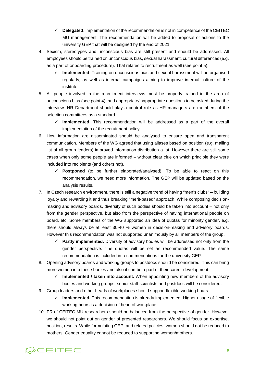- **Delegated**. Implementation of the recommendation is not in competence of the CEITEC MU management. The recommendation will be added to proposal of actions to the university GEP that will be designed by the end of 2021.
- 4. Sexism, stereotypes and unconscious bias are still present and should be addressed. All employees should be trained on unconscious bias, sexual harassment, cultural differences (e.g. as a part of onboarding procedure). That relates to recruitment as well (see point 5).
	- **Implemented**. Training on unconscious bias and sexual harassment will be organised regularly, as well as internal campaigns aiming to improve internal culture of the institute.
- 5. All people involved in the recruitment interviews must be properly trained in the area of unconscious bias (see point 4), and appropriate/inappropriate questions to be asked during the interview. HR Department should play a control role as HR managers are members of the selection committees as a standard.
	- **Implemented**. This recommendation will be addressed as a part of the overall implementation of the recruitment policy.
- 6. How information are disseminated should be analysed to ensure open and transparent communication. Members of the WG agreed that using aliases based on position (e.g. mailing list of all group leaders) improved information distribution a lot. However there are still some cases when only some people are informed – without clear clue on which principle they were included into recipients (and others not).
	- **Postponed** (to be further elaborated/analysed). To be able to react on this recommendation, we need more information. The GEP will be updated based on the analysis results.
- 7. In Czech research environment, there is still a negative trend of having "men's clubs" building loyalty and rewarding it and thus breaking "merit-based" approach. While composing decisionmaking and advisory boards, diversity of such bodies should be taken into account – not only from the gender perspective, but also from the perspective of having international people on board, etc. Some members of the WG supported an idea of quotas for minority gender, e.g. there should always be at least 30-40 % women in decision-making and advisory boards. However this recommendation was not supported unanimously by all members of the group.
	- **Partly implemented.** Diversity of advisory bodies will be addressed not only from the gender perspective. The quotas will be set as recommended value. The same recommendation is included in recommendations for the university GEP.
- 8. Opening advisory boards and working groups to postdocs should be considered. This can bring more women into these bodies and also it can be a part of their career development.
	- **Implemented / taken into account.** When appointing new members of the advisory bodies and working groups, senior staff scientists and postdocs will be considered.
- 9. Group leaders and other heads of workplaces should support flexible working hours.
	- $\checkmark$  Implemented. This recommendation is already implemented. Higher usage of flexible working hours is a decision of head of workplace.
- 10. PR of CEITEC MU researchers should be balanced from the perspective of gender. However we should not point out on gender of presented researchers. We should focus on expertise, position, results. While formulating GEP, and related policies, women should not be reduced to mothers. Gender equality cannot be reduced to supporting women/mothers.

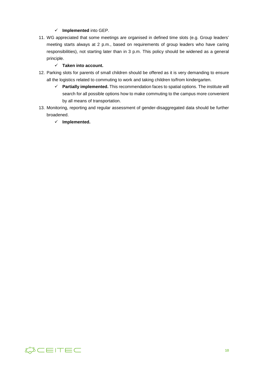#### **Implemented** into GEP.

11. WG appreciated that some meetings are organised in defined time slots (e.g. Group leaders' meeting starts always at 2 p.m., based on requirements of group leaders who have caring responsibilities), not starting later than in 3 p.m. This policy should be widened as a general principle.

#### **Taken into account.**

- 12. Parking slots for parents of small children should be offered as it is very demanding to ensure all the logistics related to commuting to work and taking children to/from kindergarten.
	- **Partially implemented.** This recommendation faces to spatial options. The institute will search for all possible options how to make commuting to the campus more convenient by all means of transportation.
- 13. Monitoring, reporting and regular assessment of gender-disaggregated data should be further broadened.
	- **Implemented.**

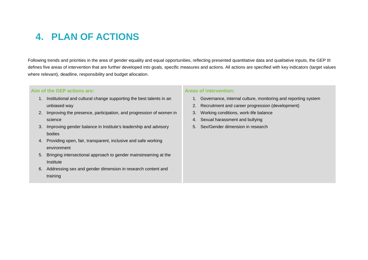### **4. PLAN OF ACTIONS**

Following trends and priorities in the area of gender equality and equal opportunities, reflecting presented quantitative data and qualitative inputs, the GEP III defines five areas of intervention that are further developed into goals, specific measures and actions. All actions are specified with key indicators (target values where relevant), deadline, responsibility and budget allocation.

#### **Aim of the GEP actions are:**

- 1. Institutional and cultural change supporting the best talents in an unbiased way
- 2. Improving the presence, participation, and progression of women in science
- 3. Improving gender balance in Institute's leadership and advisory bodies
- <span id="page-10-0"></span>4. Providing open, fair, transparent, inclusive and safe working environment
- 5. Bringing intersectional approach to gender mainstreaming at the Institute
- 6. Addressing sex and gender dimension in research content and training

#### **Areas of intervention:**

- 1. Governance, internal culture, monitoring and reporting system
- 2. Recruitment and career progression (development)
- 3. Working conditions, work-life balance
- 4. Sexual harassment and bullying
- 5. Sex/Gender dimension in research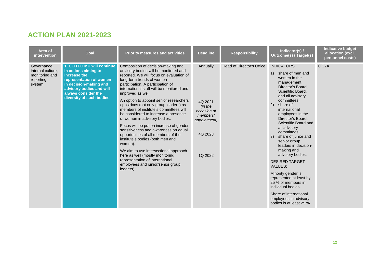### **ACTION PLAN 2021-2023**

| Area of<br><i>intervention</i>                                            | <b>Goal</b>                                                                                                                                                                                            | <b>Priority measures and activities</b>                                                                                                                                                                                                                                                                                                                                                                                                                                                                                                                                                                                                                                                                                                                                                                    | <b>Deadline</b>                                                                                 | <b>Responsibility</b>     | Indicator(s) /<br><b>Outcome(s) / Target(s)</b>                                                                                                                                                                                                                                                                                                                                                                                                                                                                                                                                                                     | <b>Indicative budget</b><br>allocation (excl.<br>personnel costs) |
|---------------------------------------------------------------------------|--------------------------------------------------------------------------------------------------------------------------------------------------------------------------------------------------------|------------------------------------------------------------------------------------------------------------------------------------------------------------------------------------------------------------------------------------------------------------------------------------------------------------------------------------------------------------------------------------------------------------------------------------------------------------------------------------------------------------------------------------------------------------------------------------------------------------------------------------------------------------------------------------------------------------------------------------------------------------------------------------------------------------|-------------------------------------------------------------------------------------------------|---------------------------|---------------------------------------------------------------------------------------------------------------------------------------------------------------------------------------------------------------------------------------------------------------------------------------------------------------------------------------------------------------------------------------------------------------------------------------------------------------------------------------------------------------------------------------------------------------------------------------------------------------------|-------------------------------------------------------------------|
| Governance,<br>internal culture.<br>monitoring and<br>reporting<br>system | 1. CEITEC MU will continue<br>in actions aiming to<br>increase the<br>representation of women<br>in decision-making and<br>advisory bodies and will<br>always consider the<br>diversity of such bodies | Composition of decision-making and<br>advisory bodies will be monitored and<br>reported. We will focus on evaluation of<br>long-term trends of women<br>participation. A participation of<br>international staff will be monitored and<br>improved as well.<br>An option to appoint senior researchers<br>postdocs (not only group leaders) as<br>members of institute's committees will<br>be considered to increase a presence<br>of women in advisory bodies.<br>Focus will be put on increase of gender<br>sensitiveness and awareness on equal<br>opportunities of all members of the<br>institute's bodies (both men and<br>women).<br>We aim to use intersectional approach<br>here as well (mostly monitoring<br>representation of international<br>employees and junior/senior group<br>leaders). | Annually<br>4Q 2021<br>(in the<br>occasion of<br>members'<br>appointment)<br>4Q 2023<br>1Q 2022 | Head of Director's Office | <b>INDICATORS:</b><br>share of men and<br>women in the<br>management,<br>Director's Board,<br>Scientific Board.<br>and all advisory<br>committees:<br>2)<br>share of<br>international<br>employees in the<br>Director's Board,<br>Scientific Board and<br>all advisory<br>committees:<br>3)<br>share of junior and<br>senior group<br>leaders in decision-<br>making and<br>advisory bodies.<br><b>DESIRED TARGET</b><br><b>VALUES:</b><br>Minority gender is<br>represented at least by<br>25 % of members in<br>individual bodies.<br>Share of international<br>employees in advisory<br>bodies is at least 25 %. | 0 CZK                                                             |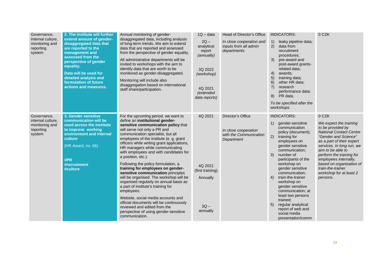| Governance,<br>internal culture,<br>monitoring and<br>reporting<br>system | 2. The Institute will further<br>extend amount of gender-<br>disaggregated data that<br>are reported to the<br>management and<br>assessed from the<br>perspective of gender<br>equality.<br>Data will be used for<br>detailed analysis and<br>formulation of future<br>actions and measures. | Annual monitoring of gender-<br>disaggregated data, including analysis<br>of long-term trends. We aim to extend<br>data that are reported and assessed<br>from the perspective of gender equality.<br>All administrative departments will be<br>invited to workshops with the aim to<br>identify data that are worth to be<br>monitored as gender-disaggregated.<br>Monitoring will include also<br>disaggregation based on international<br>staff share/participation.                                                                                                                                                                                                                                                                                                                                               | $1Q - data$<br>$2Q -$<br>analytical<br>report<br>(annually)<br>3Q 2022<br>(workshop)<br>4Q 2021<br>(extended<br>data reports) | Head of Director's Office<br>In close cooperation and<br>inputs from all admin<br>departments. | <b>INDICATORS:</b><br>leaky pipeline data;<br>1)<br>2)<br>data from<br>recruitment<br>procedures:<br>3)<br>pre-award and<br>post-award grants-<br>related data;<br>4)<br>awards:<br>5)<br>training data;<br>6)<br>other HR data;<br>7)<br>research<br>performance data;<br>8)<br>PR data.<br>To be specified after the<br>workshops.                                                                                                                                     | 0 CZK                                                                                                                                                                                                                                                                                                                                      |
|---------------------------------------------------------------------------|----------------------------------------------------------------------------------------------------------------------------------------------------------------------------------------------------------------------------------------------------------------------------------------------|-----------------------------------------------------------------------------------------------------------------------------------------------------------------------------------------------------------------------------------------------------------------------------------------------------------------------------------------------------------------------------------------------------------------------------------------------------------------------------------------------------------------------------------------------------------------------------------------------------------------------------------------------------------------------------------------------------------------------------------------------------------------------------------------------------------------------|-------------------------------------------------------------------------------------------------------------------------------|------------------------------------------------------------------------------------------------|--------------------------------------------------------------------------------------------------------------------------------------------------------------------------------------------------------------------------------------------------------------------------------------------------------------------------------------------------------------------------------------------------------------------------------------------------------------------------|--------------------------------------------------------------------------------------------------------------------------------------------------------------------------------------------------------------------------------------------------------------------------------------------------------------------------------------------|
| Governance,<br>internal culture,<br>monitoring and<br>reporting<br>system | 3. Gender sensitive<br>communication will be<br>used across the institute<br>to improve working<br>environment and internal<br>culture<br>(HR Award, no. 66)<br>#PR<br>#recruitment<br>#culture                                                                                              | For the upcoming period, we want to<br>define an institutional gender-<br>sensitive communication policy that<br>will serve not only a PR and<br>communication specialist, but all<br>employees of the institute (e. g. grant<br>officers while writing grant applications,<br>HR managers while communicating<br>with employees and with candidates for<br>a position, etc.).<br>Following the policy formulation, a<br>training for employees on gender-<br>sensitive communication principles<br>will be organised. The workshop will be<br>organised regularly on annual basis as<br>a part of institute's training for<br>employees.<br>Website, social media accounts and<br>official documents will be continuously<br>reviewed and edited from the<br>perspective of using gender-sensitive<br>communication. | 4Q 2021<br>4Q 2021<br>(first training)<br>Annually<br>$3Q -$<br>annually                                                      | Director's Office<br>In close cooperation<br>with the Communication<br>Department              | <b>INDICATORS:</b><br>1)<br>gender-sensitive<br>communication<br>policy (document);<br>2)<br>training for<br>employees on<br>gender sensitive<br>communication;<br>3)<br>number of<br>participants of the<br>workshop on<br>gender sensitive<br>communication;<br>train-the-trainer<br>4)<br>workshop on<br>gender sensitive<br>communication; at<br>least two persons<br>trained;<br>regular analytical<br>5)<br>report of web and<br>social media<br>presentation/comm | 0 CZK<br>We expect the training<br>to be provided by<br><b>National Contact Centre</b><br>"Gender and Science"<br>as a part of their expert<br>services. In long run, we<br>aim to be able to<br>perform the training for<br>employees internally,<br>based on organisation of<br>train-the-trainer<br>workshop for at least 2<br>persons. |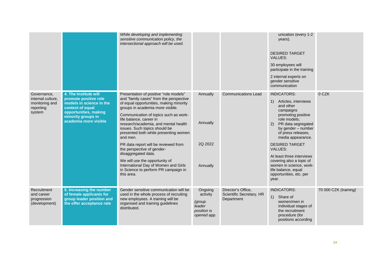|                                                                           |                                                                                                                                                                        | While developing and implementing<br>sensitive communication policy, the<br>intersectional approach will be used.                                                                                                                                                                                                                                                                                                                                                                                                                                                                               |                                                                       |                                                              | unication (every 1-2<br>years).<br><b>DESIRED TARGET</b><br><b>VALUES:</b><br>30 employees will<br>participate in the training<br>2 internal experts on<br>gender sensitive<br>communication                                                                                                                                                                                                             |                       |
|---------------------------------------------------------------------------|------------------------------------------------------------------------------------------------------------------------------------------------------------------------|-------------------------------------------------------------------------------------------------------------------------------------------------------------------------------------------------------------------------------------------------------------------------------------------------------------------------------------------------------------------------------------------------------------------------------------------------------------------------------------------------------------------------------------------------------------------------------------------------|-----------------------------------------------------------------------|--------------------------------------------------------------|----------------------------------------------------------------------------------------------------------------------------------------------------------------------------------------------------------------------------------------------------------------------------------------------------------------------------------------------------------------------------------------------------------|-----------------------|
| Governance,<br>internal culture.<br>monitoring and<br>reporting<br>system | 4. The Institute will<br>promote positive role<br>models in science in the<br>context of equal<br>opportunities, making<br>minority groups in<br>academia more visible | Presentation of positive "role models"<br>and "family cases" from the perspective<br>of equal opportunities, making minority<br>groups in academia more visible.<br>Communication of topics such as work-<br>life balance, career in<br>research/academia, and mental health<br>issues. Such topics should be<br>presented both while presenting women<br>and men.<br>PR data report will be reviewed from<br>the perspective of gender-<br>disaggregated data.<br>We will use the opportunity of<br>International Day of Women and Girls<br>in Science to perform PR campaign in<br>this area. | Annually<br>Annually<br>2Q 2022<br>Annually                           | <b>Communications Lead</b>                                   | <b>INDICATORS:</b><br>Articles, interviews<br>1)<br>and other<br>campaigns<br>promoting positive<br>role models;<br>PR data segregated<br>(2)<br>by gender - number<br>of press releases,<br>media appearance.<br><b>DESIRED TARGET</b><br><b>VALUES:</b><br>At least three interviews<br>covering also a topic of<br>women in science, work-<br>life balance, equal<br>opportunities, etc. per<br>year. | 0 CZK                 |
| Recruitment<br>and career<br>progression<br>(development)                 | 5. Increasing the number<br>of female applicants for<br>group leader position and<br>the offer acceptance rate                                                         | Gender sensitive communication will be<br>used in the whole process of recruiting<br>new employees. A training will be<br>organised and training guidelines<br>distributed.                                                                                                                                                                                                                                                                                                                                                                                                                     | Ongoing<br>activity<br>(group<br>leader<br>position is<br>opened app. | Director's Office,<br>Scientific Secretary, HR<br>Department | <b>INDICATORS:</b><br>Share of<br>1)<br>women/men in<br>individual stages of<br>the recruitment<br>procedure (for<br>positions according                                                                                                                                                                                                                                                                 | 70 000 CZK (training) |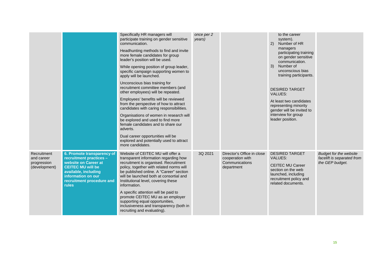|                                                           |                                                                                                                                                                                                      | Specifically HR managers will<br>participate training on gender sensitive<br>communication.<br>Headhunting methods to find and invite<br>more female candidates for group<br>leader's position will be used.<br>While opening position of group leader,<br>specific campaign supporting women to<br>apply will be launched.<br>Unconscious bias training for<br>recruitment committee members (and<br>other employees) will be repeated.<br>Employees' benefits will be reviewed<br>from the perspective of how to attract<br>candidates with caring responsibilities.<br>Organisations of women in research will<br>be explored and used to find more<br>female candidates and to share our<br>adverts.<br>Dual career opportunities will be<br>explored and potentially used to attract | once per 2<br>years) |                                                                                | to the career<br>system).<br>Number of HR<br>(2)<br>managers<br>participating training<br>on gender sensitive<br>communication.<br>Number of<br>3)<br>unconscious bias<br>training participants.<br><b>DESIRED TARGET</b><br><b>VALUES:</b><br>At least two candidates<br>representing minority<br>gender will be invited to<br>interview for group<br>leader position. |                                                                                |
|-----------------------------------------------------------|------------------------------------------------------------------------------------------------------------------------------------------------------------------------------------------------------|-------------------------------------------------------------------------------------------------------------------------------------------------------------------------------------------------------------------------------------------------------------------------------------------------------------------------------------------------------------------------------------------------------------------------------------------------------------------------------------------------------------------------------------------------------------------------------------------------------------------------------------------------------------------------------------------------------------------------------------------------------------------------------------------|----------------------|--------------------------------------------------------------------------------|-------------------------------------------------------------------------------------------------------------------------------------------------------------------------------------------------------------------------------------------------------------------------------------------------------------------------------------------------------------------------|--------------------------------------------------------------------------------|
| Recruitment<br>and career<br>progression<br>(development) | 6. Promote transparency of<br>recruitment practices -<br>website on Career at<br><b>CEITEC MU will be</b><br>available, including<br>information on our<br>recruitment procedure and<br><b>rules</b> | more candidates.<br>Website of CEITEC MU will offer a<br>transparent information regarding how<br>recruitment is organised. Recruitment<br>policy, together with related norms will<br>be published online. A "Career" section<br>will be launched both at consortial and<br>Institutional level, covering these<br>information.<br>A specific attention will be paid to<br>promote CEITEC MU as an employer<br>supporting equal opportunities,<br>inclusiveness and transparency (both in<br>recruiting and evaluating).                                                                                                                                                                                                                                                                 | 3Q 2021              | Director's Office in close<br>cooperation with<br>Communications<br>department | <b>DESIRED TARGET</b><br><b>VALUES:</b><br><b>CEITEC MU Career</b><br>section on the web<br>launched, including<br>recruitment policy and<br>related documents.                                                                                                                                                                                                         | <b>Budget for the website</b><br>facelift is separated from<br>the GEP budget. |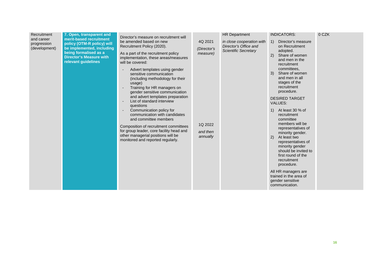| Recruitment<br>and career<br>progression<br>(development) | 7. Open, transparent and<br>merit-based recruitment<br>policy (OTM-R policy) will<br>be implemented, including<br>being formalised as a<br><b>Director's Measure with</b><br>relevant guidelines | Director's measure on recruitment will<br>be amended based on new<br>Recruitment Policy (2020).<br>As a part of the recruitment policy<br>implementation, these areas/measures<br>will be covered:<br>Advert templates using gender<br>sensitive communication<br>(including methodology for their<br>usage)<br>Training for HR managers on<br>gender sensitive communication<br>and advert templates preparation<br>List of standard interview<br>questions<br>Communication policy for<br>communication with candidates<br>and committee members<br>Composition of recruitment committees<br>for group leader, core facility head and<br>other managerial positions will be<br>monitored and reported regularly. | 4Q 2021<br>(Director's<br>measure)<br>1Q 2022<br>and then<br>annually | <b>HR Department</b><br>in close cooperation with<br>Director's Office and<br><b>Scientific Secretary</b> | <b>INDICATORS:</b><br>Director's measure<br>$\left( \begin{matrix} 1 \end{matrix} \right)$<br>on Recruitment<br>adopted.<br>Share of women<br>2)<br>and men in the<br>recruitment<br>committees.<br>Share of women<br>3)<br>and men in all<br>stages of the<br>recruitment<br>procedure.<br><b>DESIRED TARGET</b><br><b>VALUES:</b><br>At least 30 % of<br>1)<br>recruitment<br>committee<br>members will be<br>representatives of<br>minority gender.<br>2)<br>At least two<br>representatives of<br>minority gender<br>should be invited to<br>first round of the<br>recruitment<br>procedure.<br>All HR managers are<br>trained in the area of<br>gender sensitive<br>communication. | 0 CZK |
|-----------------------------------------------------------|--------------------------------------------------------------------------------------------------------------------------------------------------------------------------------------------------|--------------------------------------------------------------------------------------------------------------------------------------------------------------------------------------------------------------------------------------------------------------------------------------------------------------------------------------------------------------------------------------------------------------------------------------------------------------------------------------------------------------------------------------------------------------------------------------------------------------------------------------------------------------------------------------------------------------------|-----------------------------------------------------------------------|-----------------------------------------------------------------------------------------------------------|-----------------------------------------------------------------------------------------------------------------------------------------------------------------------------------------------------------------------------------------------------------------------------------------------------------------------------------------------------------------------------------------------------------------------------------------------------------------------------------------------------------------------------------------------------------------------------------------------------------------------------------------------------------------------------------------|-------|
|-----------------------------------------------------------|--------------------------------------------------------------------------------------------------------------------------------------------------------------------------------------------------|--------------------------------------------------------------------------------------------------------------------------------------------------------------------------------------------------------------------------------------------------------------------------------------------------------------------------------------------------------------------------------------------------------------------------------------------------------------------------------------------------------------------------------------------------------------------------------------------------------------------------------------------------------------------------------------------------------------------|-----------------------------------------------------------------------|-----------------------------------------------------------------------------------------------------------|-----------------------------------------------------------------------------------------------------------------------------------------------------------------------------------------------------------------------------------------------------------------------------------------------------------------------------------------------------------------------------------------------------------------------------------------------------------------------------------------------------------------------------------------------------------------------------------------------------------------------------------------------------------------------------------------|-------|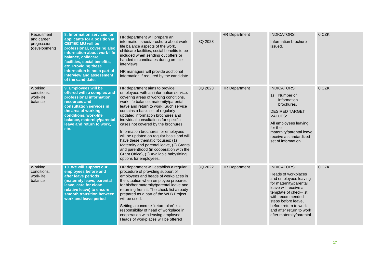| Recruitment<br>and career<br>progression<br>(development) | 8. Information services for<br>applicants for a position at<br><b>CEITEC MU will be</b><br>professional, covering also<br>information about work-life<br>balance, childcare<br>facilities, social benefits,<br>etc. Providing these<br>information is not a part of<br>interview and assessment<br>of the candidate. | HR department will prepare an<br>information sheet/brochure about work-<br>life balance aspects of the work,<br>childcare facilities, social benefits to be<br>included when sending out offers or<br>handed to candidates during on-site<br>interviews.<br>HR managers will provide additional<br>information if required by the candidate.                                                                                                                                                                                                                                                                                                       | 3Q 2023 | <b>HR Department</b> | <b>INDICATORS:</b><br>Information brochure<br>issued.                                                                                                                                                                                                                      | 0 CZK |
|-----------------------------------------------------------|----------------------------------------------------------------------------------------------------------------------------------------------------------------------------------------------------------------------------------------------------------------------------------------------------------------------|----------------------------------------------------------------------------------------------------------------------------------------------------------------------------------------------------------------------------------------------------------------------------------------------------------------------------------------------------------------------------------------------------------------------------------------------------------------------------------------------------------------------------------------------------------------------------------------------------------------------------------------------------|---------|----------------------|----------------------------------------------------------------------------------------------------------------------------------------------------------------------------------------------------------------------------------------------------------------------------|-------|
| Working<br>conditions.<br>work-life<br>balance            | 9. Employees will be<br>offered with a complex and<br>professional information<br>resources and<br>consultation services in<br>the area of working<br>conditions, work-life<br>balance, maternity/parental<br>leave and return to work,<br>etc.                                                                      | HR department aims to provide<br>employees with an information service,<br>covering areas of working conditions,<br>work-life balance, maternity/parental<br>leave and return to work. Such service<br>contains a basic set of regularly<br>updated information brochures and<br>individual consultations for specific<br>cases not covered by the brochures.<br>Information brochures for employees<br>will be updated on regular basis and will<br>have these thematic focuses: (1)<br>Maternity and parental leave, (2) Grants<br>and parenthood (in cooperation with the<br>Grant Office), (3) Available babysitting<br>options for employees. | 3Q 2023 | <b>HR Department</b> | <b>INDICATORS:</b><br>Number of<br>1)<br>information<br>brochures.<br><b>DESIRED TARGET</b><br><b>VALUES:</b><br>All employees leaving<br>for the<br>maternity/parental leave<br>receive a standardized<br>set of information.                                             | 0 CZK |
| Working<br>conditions,<br>work-life<br>balance            | 10. We will support our<br>employees before and<br>after leave periods<br>(maternity leave, parental<br>leave, care for close<br>relative leave) to ensure<br>smooth transition between<br>work and leave period                                                                                                     | HR department will establish a regular<br>procedure of providing support of<br>employees and heads of workplaces in<br>the situation when employee prepares<br>for his/her maternity/parental leave and<br>returning from it. The check-list already<br>prepared as a part of the WLB Project<br>will be used.<br>Setting a concrete "return plan" is a<br>responsibility of head of workplace in<br>cooperation with leaving employee.<br>Heads of workplaces will be offered                                                                                                                                                                     | 3Q 2022 | <b>HR Department</b> | <b>INDICATORS:</b><br>Heads of workplaces<br>and employees leaving<br>for maternity/parental<br>leave will receive a<br>template of check-list<br>with recommended<br>steps before leave,<br>before return to work<br>and after return to work<br>after maternity/parental | 0 CZK |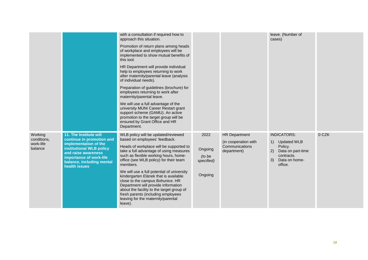|                                                |                                                                                                                                                                                                          | with a consultation if required how to<br>approach this situation.<br>Promotion of return plans among heads<br>of workplace and employees will be<br>implemented to show mutual benefits of<br>this tool.<br>HR Department will provide individual<br>help to employees returning to work<br>after maternity/parental leave (analysis<br>of individual needs).<br>Preparation of guidelines (brochure) for<br>employees returning to work after<br>maternity/parental leave.<br>We will use a full advantage of the<br>university MUNI Career Restart grant<br>support scheme (GAMU). An active<br>promotion to the target group will be<br>ensured by Grant Office and HR<br>Department. |                                                    |                                                                               | leave. (Number of<br>cases)                                                                                                          |       |
|------------------------------------------------|----------------------------------------------------------------------------------------------------------------------------------------------------------------------------------------------------------|-------------------------------------------------------------------------------------------------------------------------------------------------------------------------------------------------------------------------------------------------------------------------------------------------------------------------------------------------------------------------------------------------------------------------------------------------------------------------------------------------------------------------------------------------------------------------------------------------------------------------------------------------------------------------------------------|----------------------------------------------------|-------------------------------------------------------------------------------|--------------------------------------------------------------------------------------------------------------------------------------|-------|
| Working<br>conditions,<br>work-life<br>balance | 11. The Institute will<br>continue in promotion and<br>implementation of the<br>institutional WLB policy<br>and raise awareness<br>importance of work-life<br>balance, including mental<br>health issues | WLB policy will be updated/reviewed<br>based on employees' feedback.<br>Heads of workplace will be supported to<br>take a full advantage of using measures<br>such as flexible working hours, home-<br>office (see WLB policy) for their team<br>members.<br>We will use a full potential of university<br>kindergarten Elánek that is available<br>close to the campus Bohunice. HR<br>Department will provide information<br>about the facility to the target group of<br>fresh parents (including employees<br>leaving for the maternity/parental<br>leave).                                                                                                                           | 2022<br>Ongoing<br>(to be<br>specified)<br>Ongoing | <b>HR Department</b><br>(in cooperation with<br>Communications<br>department) | <b>INDICATORS:</b><br>1)<br><b>Updated WLB</b><br>Policy.<br>Data on part-time<br>2)<br>contracts.<br>Data on home-<br>3)<br>office. | 0 CZK |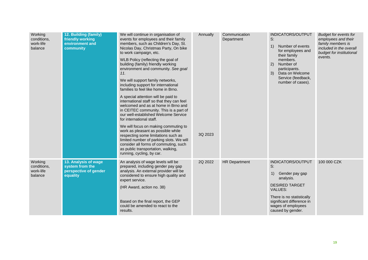| Working<br>conditions.<br>work-life<br>balance | 12. Building (family)<br>friendly working<br>environment and<br>community    | We will continue in organisation of<br>events for employees and their family<br>members, such as Children's Day, St.<br>Nicolas Day, Christmas Party, On bike<br>to work campaign, etc.<br>WLB Policy (reflecting the goal of<br>building (family) friendly working<br>environment and community. See goal<br>11.<br>We will support family networks,<br>including support for international<br>families to feel like home in Brno.<br>A special attention will be paid to<br>international staff so that they can feel<br>welcomed and as at home in Brno and<br>in CEITEC community. This is a part of<br>our well-established Welcome Service<br>for international staff.<br>We will focus on making commuting to<br>work as pleasant as possible while<br>respecting some limitations such as<br>limited number of parking slots. We will<br>consider all forms of commuting, such<br>as public transportation, walking,<br>running, cycling, by car. | Annually<br>3Q 2023 | Communication<br>Department | INDICATORS/OUTPUT<br>S:<br>Number of events<br>1)<br>for employees and<br>their family<br>members.<br>2)<br>Number of<br>participants.<br>Data on Welcome<br>3)<br>Service (feedback,<br>number of cases).   | <b>Budget for events for</b><br>employees and their<br>family members is<br>included in the overall<br>budget for institutional<br>events. |
|------------------------------------------------|------------------------------------------------------------------------------|-----------------------------------------------------------------------------------------------------------------------------------------------------------------------------------------------------------------------------------------------------------------------------------------------------------------------------------------------------------------------------------------------------------------------------------------------------------------------------------------------------------------------------------------------------------------------------------------------------------------------------------------------------------------------------------------------------------------------------------------------------------------------------------------------------------------------------------------------------------------------------------------------------------------------------------------------------------|---------------------|-----------------------------|--------------------------------------------------------------------------------------------------------------------------------------------------------------------------------------------------------------|--------------------------------------------------------------------------------------------------------------------------------------------|
| Working<br>conditions,<br>work-life<br>balance | 13. Analysis of wage<br>system from the<br>perspective of gender<br>equality | An analysis of wage levels will be<br>prepared, including gender pay gap<br>analysis. An external provider will be<br>considered to ensure high quality and<br>expert service.<br>(HR Award, action no. 38)<br>Based on the final report, the GEP<br>could be amended to react to the<br>results.                                                                                                                                                                                                                                                                                                                                                                                                                                                                                                                                                                                                                                                         | 2Q 2022             | <b>HR Department</b>        | INDICATORS/OUTPUT<br>S:<br>Gender pay gap<br>1)<br>analysis.<br><b>DESIRED TARGET</b><br><b>VALUES:</b><br>There is no statistically<br>significant difference in<br>wages of employees<br>caused by gender. | 100 000 CZK                                                                                                                                |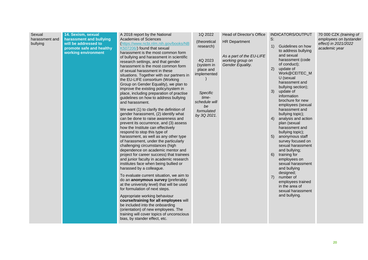| Sexual<br>harassment and<br>bullying | 14. Sexism, sexual<br>harassment and bullying<br>will be addressed to<br>promote safe and healthy<br>working environment | A 2018 report by the National<br><b>Academies of Sciences</b><br>(https://www.ncbi.nlm.nih.gov/books/NB<br>K507206/) found that sexual<br>harassment is the most common form<br>of bullying and harassment in scientific<br>research settings, and that gender<br>harassment is the most common form<br>of sexual harassment in these<br>situations. Together with our partners in<br>the EU-LIFE consortium (Working<br>Group on Gender Equality), we plan to<br>improve the existing policy/system in<br>place, including preparation of practise<br>guidelines on how to address bullying<br>and harassment.<br>We want (1) to clarify the definition of<br>gender harassment, (2) identify what<br>can be done to raise awareness and<br>prevent its occurrence, and (3) assess<br>how the Institute can effectively<br>respond to stop this type of<br>harassment, as well as any other type<br>of harassment, under the particularly<br>challenging circumstances (high<br>dependence on academic mentor and<br>project for career success) that trainees<br>and junior faculty in academic research<br>institutes face when being bullied or<br>harassed by a colleague.<br>To evaluate current situation, we aim to<br>do an anonymous survey (preferably<br>at the university level) that will be used<br>for formulation of next steps.<br>Appropriate working behaviour<br>course/training for all employees will<br>be included into the onboarding<br>(orientation) of new employees. The<br>training will cover topics of unconscious<br>bias, by stander effect, etc. | 1Q 2022<br>(theoretical<br>research)<br>4Q 2023<br>(system in<br>place and<br>implemented<br>Specific<br>time-<br>schedule will<br>be<br>formulated<br>by 3Q 2021. | Head of Director's Office<br><b>HR Department</b><br>As a part of the EU-LIFE<br>working group on<br>Gender Equality. | INDICATORS/OUTPUT<br>S:<br>Guidelines on how<br>1)<br>to address bullying<br>and sexual<br>harassment (code<br>of conduct);<br>(2)<br>update of<br>Work@CEITEC_M<br>U (sexual<br>harassment and<br>bullying section);<br>update of<br>3)<br>information<br>brochure for new<br>employees (sexual<br>harassment and<br>bullying topic);<br>4)<br>analysis and action<br>plan (sexual<br>harassment and<br>bullying topic);<br>anonymous staff<br>5)<br>survey focused on<br>sexual harassment<br>and bullying;<br>6)<br>training for<br>employees on<br>sexual harassment<br>and bullying<br>designed;<br>$\overline{7}$<br>number of<br>employees trained<br>in the area of<br>sexual harassment<br>and bullying. | 70 000 CZK (training of<br>employees on bystander<br>effect) in 2021/2022<br>academic year |
|--------------------------------------|--------------------------------------------------------------------------------------------------------------------------|--------------------------------------------------------------------------------------------------------------------------------------------------------------------------------------------------------------------------------------------------------------------------------------------------------------------------------------------------------------------------------------------------------------------------------------------------------------------------------------------------------------------------------------------------------------------------------------------------------------------------------------------------------------------------------------------------------------------------------------------------------------------------------------------------------------------------------------------------------------------------------------------------------------------------------------------------------------------------------------------------------------------------------------------------------------------------------------------------------------------------------------------------------------------------------------------------------------------------------------------------------------------------------------------------------------------------------------------------------------------------------------------------------------------------------------------------------------------------------------------------------------------------------------------------------------------------------------|--------------------------------------------------------------------------------------------------------------------------------------------------------------------|-----------------------------------------------------------------------------------------------------------------------|-------------------------------------------------------------------------------------------------------------------------------------------------------------------------------------------------------------------------------------------------------------------------------------------------------------------------------------------------------------------------------------------------------------------------------------------------------------------------------------------------------------------------------------------------------------------------------------------------------------------------------------------------------------------------------------------------------------------|--------------------------------------------------------------------------------------------|
|--------------------------------------|--------------------------------------------------------------------------------------------------------------------------|--------------------------------------------------------------------------------------------------------------------------------------------------------------------------------------------------------------------------------------------------------------------------------------------------------------------------------------------------------------------------------------------------------------------------------------------------------------------------------------------------------------------------------------------------------------------------------------------------------------------------------------------------------------------------------------------------------------------------------------------------------------------------------------------------------------------------------------------------------------------------------------------------------------------------------------------------------------------------------------------------------------------------------------------------------------------------------------------------------------------------------------------------------------------------------------------------------------------------------------------------------------------------------------------------------------------------------------------------------------------------------------------------------------------------------------------------------------------------------------------------------------------------------------------------------------------------------------|--------------------------------------------------------------------------------------------------------------------------------------------------------------------|-----------------------------------------------------------------------------------------------------------------------|-------------------------------------------------------------------------------------------------------------------------------------------------------------------------------------------------------------------------------------------------------------------------------------------------------------------------------------------------------------------------------------------------------------------------------------------------------------------------------------------------------------------------------------------------------------------------------------------------------------------------------------------------------------------------------------------------------------------|--------------------------------------------------------------------------------------------|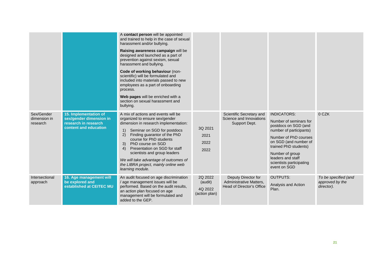|                                        |                                                                                                   | A contact person will be appointed<br>and trained to help in the case of sexual<br>harassment and/or bullying.<br>Raising awareness campaign will be<br>designed and launched as a part of<br>prevention against sexism, sexual<br>harassment and bullying.<br>Code of working behaviour (non-<br>scientific) will be formulated and<br>included into materials passed to new<br>employees as a part of onboarding<br>process.<br>Web pages will be enriched with a<br>section on sexual harassment and<br>bullying. |                                                |                                                                             |                                                                                                                                                                                                                                                                |                                                       |
|----------------------------------------|---------------------------------------------------------------------------------------------------|----------------------------------------------------------------------------------------------------------------------------------------------------------------------------------------------------------------------------------------------------------------------------------------------------------------------------------------------------------------------------------------------------------------------------------------------------------------------------------------------------------------------|------------------------------------------------|-----------------------------------------------------------------------------|----------------------------------------------------------------------------------------------------------------------------------------------------------------------------------------------------------------------------------------------------------------|-------------------------------------------------------|
| Sex/Gender<br>dimension in<br>research | 15. Implementation of<br>sex/gender dimension in<br>research in research<br>content and education | A mix of actions and events will be<br>organized to ensure sex/gender<br>dimension in research implementation:<br>Seminar on SGD for postdocs<br>1)<br>Finding guarantor of the PhD<br>2)<br>course for PhD students<br>3)<br>PhD course on SGD<br>Presentation on SGD for staff<br>4)<br>scientists and group leaders<br>We will take advantage of outcomes of<br>the LIBRA project, mainly online web<br>learning module.                                                                                          | 3Q 2021<br>2021<br>2022<br>2022                | Scientific Secretary and<br>Science and Innovations<br>Support Dept.        | <b>INDICATORS:</b><br>Number of seminars for<br>postdocs on SGD (and<br>number of participants)<br>Number of PhD courses<br>on SGD (and number of<br>trained PhD students)<br>Number of group<br>leaders and staff<br>scientists participating<br>event on SGD | 0 CZK                                                 |
| Intersectional<br>approach             | 16. Age management will<br>be explored and<br>established at CEITEC MU                            | An audit focused on age discrimination<br>/ age management issues will be<br>performed. Based on the audit results,<br>an action plan focused on age<br>management will be formulated and<br>added to the GEP.                                                                                                                                                                                                                                                                                                       | 2Q 2022<br>(audit)<br>4Q 2022<br>(action plan) | Deputy Director for<br>Administrative Matters,<br>Head of Director's Office | <b>OUTPUTS:</b><br>Analysis and Action<br>Plan.                                                                                                                                                                                                                | To be specified (and<br>approved by the<br>director). |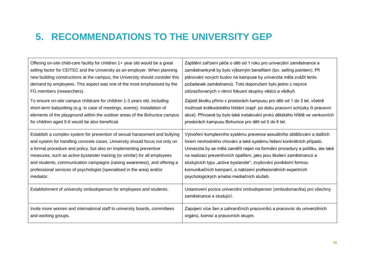### **5. RECOMMENDATIONS TO THE UNIVERSITY GEP**

<span id="page-21-0"></span>

| Offering on-site child-care facility for children 1+ year old would be a great    | Zajištění zařízení péče o děti od 1 roku pro univerzitní zaměstnance a                            |
|-----------------------------------------------------------------------------------|---------------------------------------------------------------------------------------------------|
| selling factor for CEITEC and the University as an employer. When planning        | zaměstnankyně by bylo výborným benefitem (tzv. selling pointem). Při                              |
| new building constructions at the campus, the University should consider this     | plánování nových budov na kampuse by univerzita měla zvážit tento                                 |
| demand by employees. This aspect was one of the most emphasised by the            | požadavek zaměstnanců. Toto doporučení bylo jedno z nejvíce                                       |
| FG members (researchers).                                                         | zdůrazňovaných v rámci fokusní skupiny vědců a vědkyň.                                            |
| To ensure on-site campus childcare for children 1-3 years old, including          | Zajistit školku přímo v prostorách kampusu pro děti od 1 do 3 let, včetně                         |
| short-term babysitting (e.g. in case of meetings, events). Installation of        | možnosti krátkodobého hlídání (např. po dobu pracovní schůzky či pracovní                         |
| elements of the playground within the outdoor areas of the Bohunice campus        | akce). Přínosné by bylo také instalování prvků dětského hřiště ve venkovních                      |
| for children aged 0-6 would be also beneficial.                                   | prostorách kampusu Bohunice pro děti od 0 do 6 let.                                               |
| Establish a complex system for prevention of sexual harassment and bullying       | Vytvoření komplexního systému prevence sexuálního obtěžování a dalších                            |
| and system for handling concrete cases. University should focus not only on       | forem nevhodného chování a také systému řešení konkrétních případů.                               |
| a formal procedure and policy, but also on implementing preventive                | Univerzita by se měla zaměřit nejen na formální procedury a politiku, ale také                    |
| measures, such as <i>active bystander</i> training (or similar) for all employees | na realizaci preventivních opatření, jako jsou školení zaměstnanců a                              |
| and students, communication campaigns (raising awareness), and offering a         | studujících typu "active bystander", zvyšování povědomí formou                                    |
| professional services of psychologist (specialised in the area) and/or            | komunikačních kampaní, a nabízení profesionálních expertních                                      |
| mediator.                                                                         | psychologických a/nebo mediačních služeb.                                                         |
| Establishment of university ombudsperson for employees and students.              | Ustanovení pozice univerzitní ombudsperson (ombudsman/ka) pro všechny<br>zaměstnance a studující. |
| Invite more women and international staff to university boards, committees        | Zapojení více žen a zahraničních pracovníků a pracovnic do univerzitních                          |
| and working groups.                                                               | orgánů, komisí a pracovních skupin.                                                               |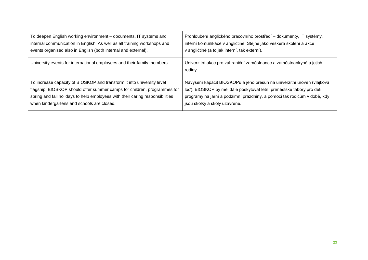| To deepen English working environment - documents, IT systems and             | Prohloubení anglického pracovního prostředí – dokumenty, IT systémy,            |
|-------------------------------------------------------------------------------|---------------------------------------------------------------------------------|
| internal communication in English. As well as all training workshops and      | interní komunikace v angličtině. Stejně jako veškerá školení a akce             |
| events organised also in English (both internal and external).                | v angličtině (a to jak interní, tak externí).                                   |
| University events for international employees and their family members.       | Univerzitní akce pro zahraniční zaměstnance a zaměstnankyně a jejich<br>rodiny. |
| To increase capacity of BIOSKOP and transform it into university level        | Navýšení kapacit BIOSKOPu a jeho přesun na univerzitní úroveň (vlajková         |
| flagship. BIOSKOP should offer summer camps for children, programmes for      | loď). BIOSKOP by měl dále poskytovat letní příměstské tábory pro děti,          |
| spring and fall holidays to help employees with their caring responsibilities | programy na jarní a podzimní prázdniny, a pomoci tak rodičům v době, kdy        |
| when kindergartens and schools are closed.                                    | jsou školky a školy uzavřené.                                                   |